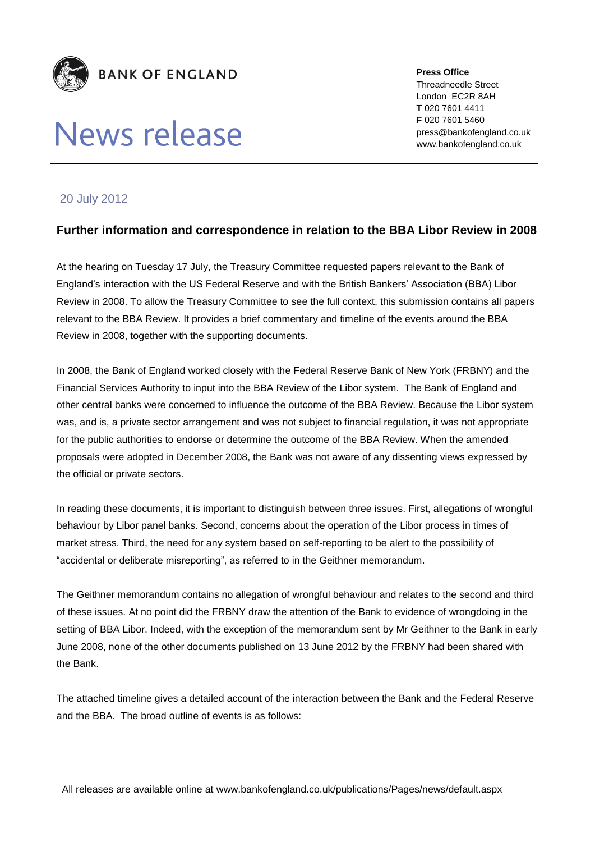

# News release

**Press Office** Threadneedle Street London EC2R 8AH **T** 020 7601 4411 **F** 020 7601 5460 press@bankofengland.co.uk www.bankofengland.co.uk

## 20 July 2012

## **Further information and correspondence in relation to the BBA Libor Review in 2008**

At the hearing on Tuesday 17 July, the Treasury Committee requested papers relevant to the Bank of England's interaction with the US Federal Reserve and with the British Bankers' Association (BBA) Libor Review in 2008. To allow the Treasury Committee to see the full context, this submission contains all papers relevant to the BBA Review. It provides a brief commentary and timeline of the events around the BBA Review in 2008, together with the supporting documents.

In 2008, the Bank of England worked closely with the Federal Reserve Bank of New York (FRBNY) and the Financial Services Authority to input into the BBA Review of the Libor system. The Bank of England and other central banks were concerned to influence the outcome of the BBA Review. Because the Libor system was, and is, a private sector arrangement and was not subject to financial regulation, it was not appropriate for the public authorities to endorse or determine the outcome of the BBA Review. When the amended proposals were adopted in December 2008, the Bank was not aware of any dissenting views expressed by the official or private sectors.

In reading these documents, it is important to distinguish between three issues. First, allegations of wrongful behaviour by Libor panel banks. Second, concerns about the operation of the Libor process in times of market stress. Third, the need for any system based on self-reporting to be alert to the possibility of "accidental or deliberate misreporting", as referred to in the Geithner memorandum.

The Geithner memorandum contains no allegation of wrongful behaviour and relates to the second and third of these issues. At no point did the FRBNY draw the attention of the Bank to evidence of wrongdoing in the setting of BBA Libor. Indeed, with the exception of the memorandum sent by Mr Geithner to the Bank in early June 2008, none of the other documents published on 13 June 2012 by the FRBNY had been shared with the Bank.

The attached timeline gives a detailed account of the interaction between the Bank and the Federal Reserve and the BBA. The broad outline of events is as follows:

All releases are available online at www.bankofengland.co.uk/publications/Pages/news/default.aspx